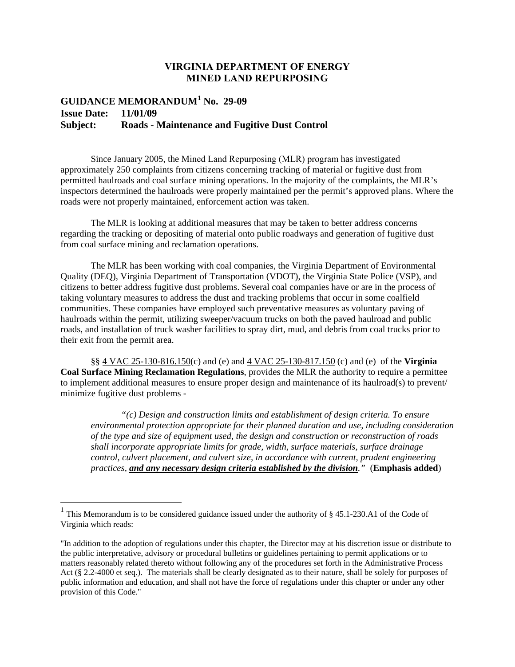## **VIRGINIA DEPARTMENT OF ENERGY MINED LAND REPURPOSING**

## **GUIDANCE MEMORANDUM<sup>1</sup> No. 29-09 Issue Date: 11/01/09 Subject: Roads - Maintenance and Fugitive Dust Control**

Since January 2005, the Mined Land Repurposing (MLR) program has investigated approximately 250 complaints from citizens concerning tracking of material or fugitive dust from permitted haulroads and coal surface mining operations. In the majority of the complaints, the MLR's inspectors determined the haulroads were properly maintained per the permit's approved plans. Where the roads were not properly maintained, enforcement action was taken.

The MLR is looking at additional measures that may be taken to better address concerns regarding the tracking or depositing of material onto public roadways and generation of fugitive dust from coal surface mining and reclamation operations.

The MLR has been working with coal companies, the Virginia Department of Environmental Quality (DEQ), Virginia Department of Transportation (VDOT), the Virginia State Police (VSP), and citizens to better address fugitive dust problems. Several coal companies have or are in the process of taking voluntary measures to address the dust and tracking problems that occur in some coalfield communities. These companies have employed such preventative measures as voluntary paving of haulroads within the permit, utilizing sweeper/vacuum trucks on both the paved haulroad and public roads, and installation of truck washer facilities to spray dirt, mud, and debris from coal trucks prior to their exit from the permit area.

§§ 4 VAC 25-130-816.150(c) and (e) and 4 VAC 25-130-817.150 (c) and (e) of the **Virginia Coal Surface Mining Reclamation Regulations**, provides the MLR the authority to require a permittee to implement additional measures to ensure proper design and maintenance of its haulroad(s) to prevent/ minimize fugitive dust problems -

*"(c) Design and construction limits and establishment of design criteria. To ensure environmental protection appropriate for their planned duration and use, including consideration of the type and size of equipment used, the design and construction or reconstruction of roads shall incorporate appropriate limits for grade, width, surface materials, surface drainage control, culvert placement, and culvert size, in accordance with current, prudent engineering practices, and any necessary design criteria established by the division."* (**Emphasis added**)

<sup>&</sup>lt;sup>1</sup> This Memorandum is to be considered guidance issued under the authority of § 45.1-230.A1 of the Code of Virginia which reads:

<sup>&</sup>quot;In addition to the adoption of regulations under this chapter, the Director may at his discretion issue or distribute to the public interpretative, advisory or procedural bulletins or guidelines pertaining to permit applications or to matters reasonably related thereto without following any of the procedures set forth in the Administrative Process Act (§ 2.2-4000 et seq.). The materials shall be clearly designated as to their nature, shall be solely for purposes of public information and education, and shall not have the force of regulations under this chapter or under any other provision of this Code."